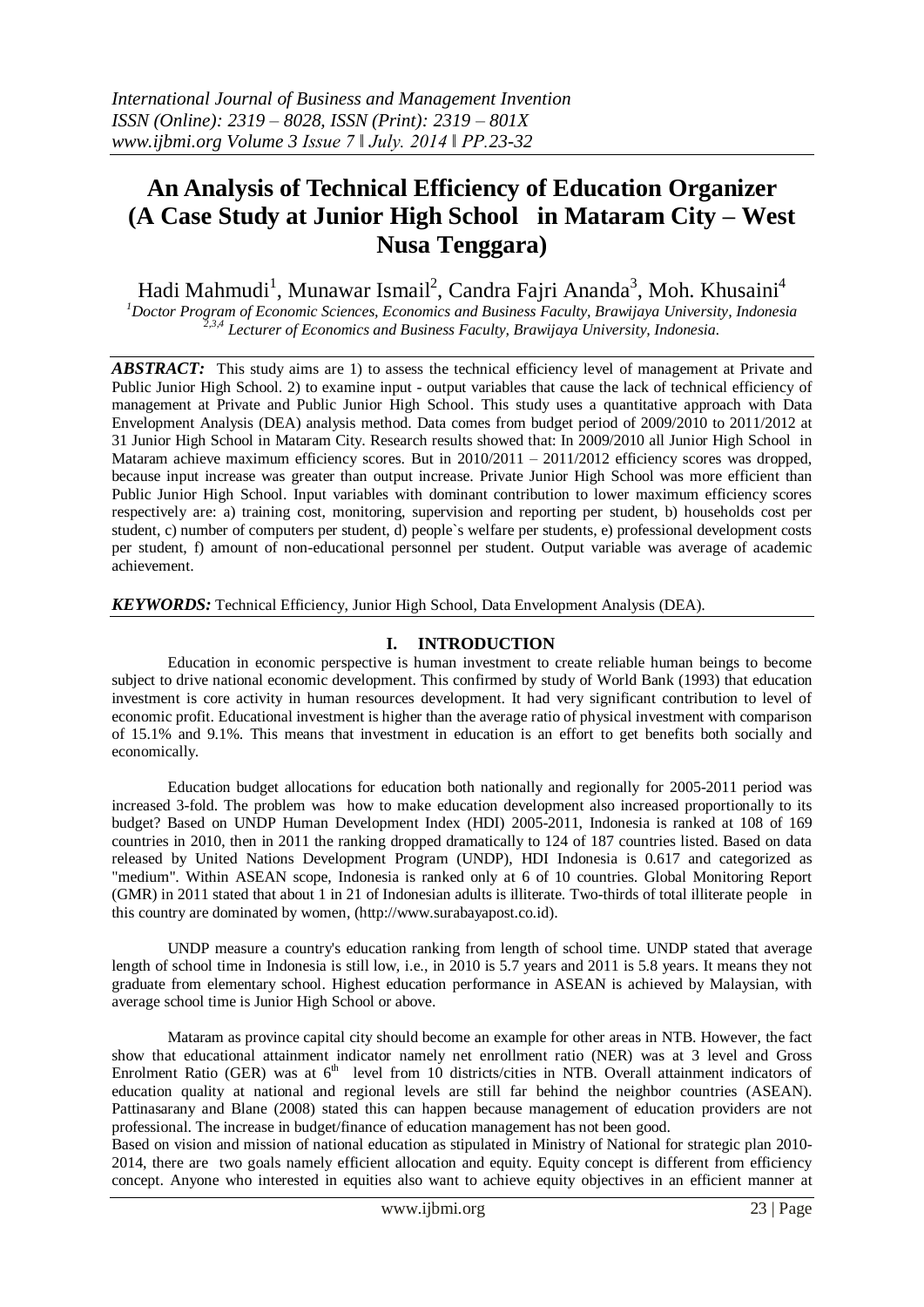# **An Analysis of Technical Efficiency of Education Organizer (A Case Study at Junior High School in Mataram City – West Nusa Tenggara)**

Hadi Mahmudi<sup>1</sup>, Munawar Ismail<sup>2</sup>, Candra Fajri Ananda<sup>3</sup>, Moh. Khusaini<sup>4</sup>

*<sup>1</sup>Doctor Program of Economic Sciences, Economics and Business Faculty, Brawijaya University, Indonesia 2,3,4 Lecturer of Economics and Business Faculty, Brawijaya University, Indonesia.*

*ABSTRACT:*This study aims are 1) to assess the technical efficiency level of management at Private and Public Junior High School. 2) to examine input - output variables that cause the lack of technical efficiency of management at Private and Public Junior High School. This study uses a quantitative approach with Data Envelopment Analysis (DEA) analysis method. Data comes from budget period of 2009/2010 to 2011/2012 at 31 Junior High School in Mataram City. Research results showed that: In 2009/2010 all Junior High School in Mataram achieve maximum efficiency scores. But in 2010/2011 – 2011/2012 efficiency scores was dropped, because input increase was greater than output increase. Private Junior High School was more efficient than Public Junior High School. Input variables with dominant contribution to lower maximum efficiency scores respectively are: a) training cost, monitoring, supervision and reporting per student, b) households cost per student, c) number of computers per student, d) people`s welfare per students, e) professional development costs per student, f) amount of non-educational personnel per student. Output variable was average of academic achievement.

*KEYWORDS:* Technical Efficiency, Junior High School, Data Envelopment Analysis (DEA).

# **I. INTRODUCTION**

Education in economic perspective is human investment to create reliable human beings to become subject to drive national economic development. This confirmed by study of World Bank (1993) that education investment is core activity in human resources development. It had very significant contribution to level of economic profit. Educational investment is higher than the average ratio of physical investment with comparison of 15.1% and 9.1%. This means that investment in education is an effort to get benefits both socially and economically.

Education budget allocations for education both nationally and regionally for 2005-2011 period was increased 3-fold. The problem was how to make education development also increased proportionally to its budget? Based on UNDP Human Development Index (HDI) 2005-2011, Indonesia is ranked at 108 of 169 countries in 2010, then in 2011 the ranking dropped dramatically to 124 of 187 countries listed. Based on data released by United Nations Development Program (UNDP), HDI Indonesia is 0.617 and categorized as "medium". Within ASEAN scope, Indonesia is ranked only at 6 of 10 countries. Global Monitoring Report (GMR) in 2011 stated that about 1 in 21 of Indonesian adults is illiterate. Two-thirds of total illiterate people in this country are dominated by women, (http://www.surabayapost.co.id).

UNDP measure a country's education ranking from length of school time. UNDP stated that average length of school time in Indonesia is still low, i.e., in 2010 is 5.7 years and 2011 is 5.8 years. It means they not graduate from elementary school. Highest education performance in ASEAN is achieved by Malaysian, with average school time is Junior High School or above.

Mataram as province capital city should become an example for other areas in NTB. However, the fact show that educational attainment indicator namely net enrollment ratio (NER) was at 3 level and Gross Enrolment Ratio (GER) was at  $6<sup>th</sup>$  level from 10 districts/cities in NTB. Overall attainment indicators of education quality at national and regional levels are still far behind the neighbor countries (ASEAN). Pattinasarany and Blane (2008) stated this can happen because management of education providers are not professional. The increase in budget/finance of education management has not been good.

Based on vision and mission of national education as stipulated in Ministry of National for strategic plan 2010- 2014, there are two goals namely efficient allocation and equity. Equity concept is different from efficiency concept. Anyone who interested in equities also want to achieve equity objectives in an efficient manner at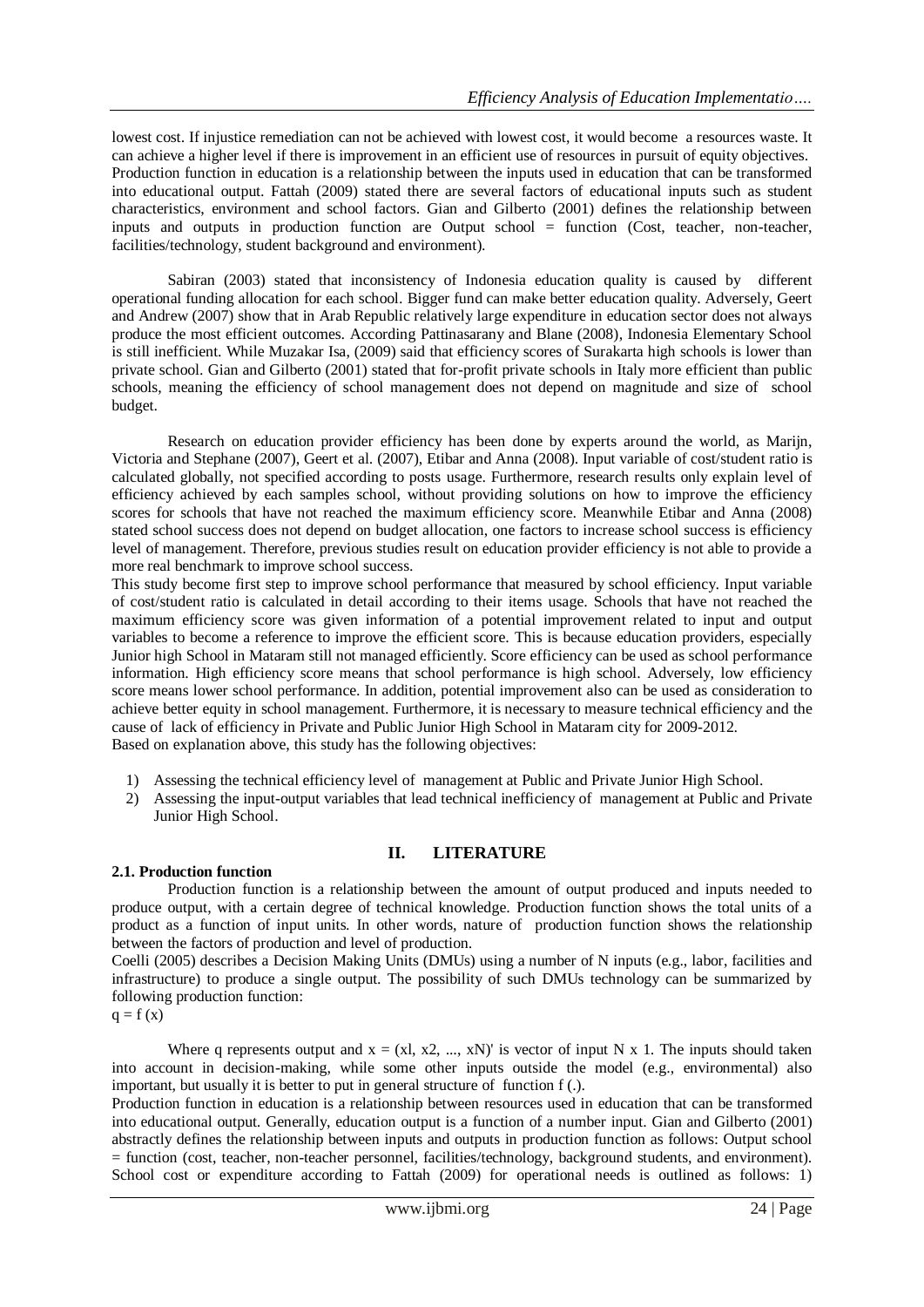lowest cost. If injustice remediation can not be achieved with lowest cost, it would become a resources waste. It can achieve a higher level if there is improvement in an efficient use of resources in pursuit of equity objectives. Production function in education is a relationship between the inputs used in education that can be transformed into educational output. Fattah (2009) stated there are several factors of educational inputs such as student characteristics, environment and school factors. Gian and Gilberto (2001) defines the relationship between inputs and outputs in production function are Output school = function (Cost, teacher, non-teacher, facilities/technology, student background and environment).

Sabiran (2003) stated that inconsistency of Indonesia education quality is caused by different operational funding allocation for each school. Bigger fund can make better education quality. Adversely, Geert and Andrew (2007) show that in Arab Republic relatively large expenditure in education sector does not always produce the most efficient outcomes. According Pattinasarany and Blane (2008), Indonesia Elementary School is still inefficient. While Muzakar Isa, (2009) said that efficiency scores of Surakarta high schools is lower than private school. Gian and Gilberto (2001) stated that for-profit private schools in Italy more efficient than public schools, meaning the efficiency of school management does not depend on magnitude and size of school budget.

Research on education provider efficiency has been done by experts around the world, as Marijn, Victoria and Stephane (2007), Geert et al. (2007), Etibar and Anna (2008). Input variable of cost/student ratio is calculated globally, not specified according to posts usage. Furthermore, research results only explain level of efficiency achieved by each samples school, without providing solutions on how to improve the efficiency scores for schools that have not reached the maximum efficiency score. Meanwhile Etibar and Anna (2008) stated school success does not depend on budget allocation, one factors to increase school success is efficiency level of management. Therefore, previous studies result on education provider efficiency is not able to provide a more real benchmark to improve school success.

This study become first step to improve school performance that measured by school efficiency. Input variable of cost/student ratio is calculated in detail according to their items usage. Schools that have not reached the maximum efficiency score was given information of a potential improvement related to input and output variables to become a reference to improve the efficient score. This is because education providers, especially Junior high School in Mataram still not managed efficiently. Score efficiency can be used as school performance information. High efficiency score means that school performance is high school. Adversely, low efficiency score means lower school performance. In addition, potential improvement also can be used as consideration to achieve better equity in school management. Furthermore, it is necessary to measure technical efficiency and the cause of lack of efficiency in Private and Public Junior High School in Mataram city for 2009-2012. Based on explanation above, this study has the following objectives:

- 1) Assessing the technical efficiency level of management at Public and Private Junior High School.
- 2) Assessing the input-output variables that lead technical inefficiency of management at Public and Private Junior High School.

# **II. LITERATURE**

## **2.1. Production function**

Production function is a relationship between the amount of output produced and inputs needed to produce output, with a certain degree of technical knowledge. Production function shows the total units of a product as a function of input units. In other words, nature of production function shows the relationship between the factors of production and level of production.

Coelli (2005) describes a Decision Making Units (DMUs) using a number of N inputs (e.g., labor, facilities and infrastructure) to produce a single output. The possibility of such DMUs technology can be summarized by following production function:

 $q = f(x)$ 

Where q represents output and  $x = (x1, x2, ..., xN)$  is vector of input N x 1. The inputs should taken into account in decision-making, while some other inputs outside the model (e.g., environmental) also important, but usually it is better to put in general structure of function f (.).

Production function in education is a relationship between resources used in education that can be transformed into educational output. Generally, education output is a function of a number input. Gian and Gilberto (2001) abstractly defines the relationship between inputs and outputs in production function as follows: Output school = function (cost, teacher, non-teacher personnel, facilities/technology, background students, and environment). School cost or expenditure according to Fattah (2009) for operational needs is outlined as follows: 1)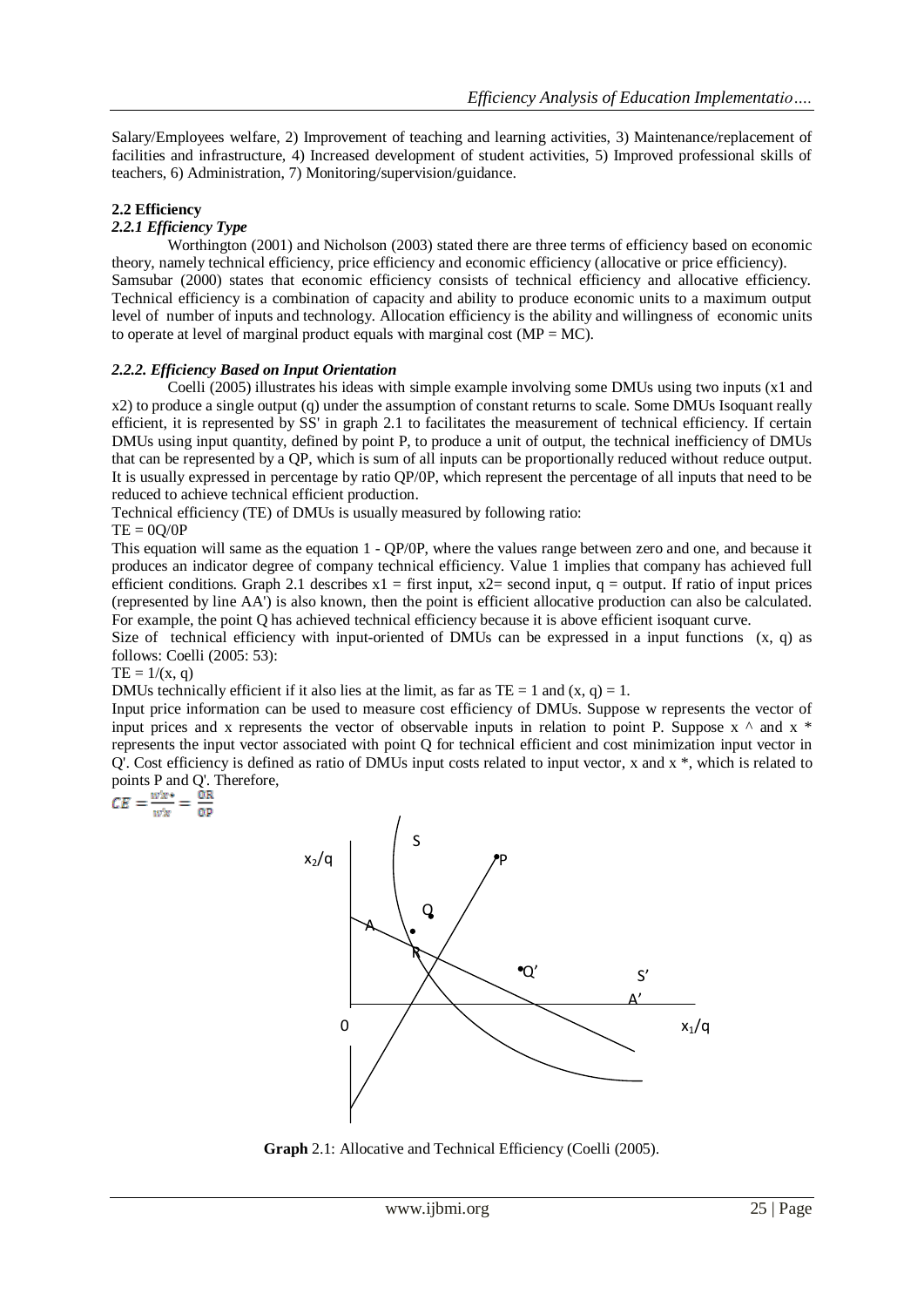Salary/Employees welfare, 2) Improvement of teaching and learning activities, 3) Maintenance/replacement of facilities and infrastructure, 4) Increased development of student activities, 5) Improved professional skills of teachers, 6) Administration, 7) Monitoring/supervision/guidance.

# **2.2 Efficiency**

# *2.2.1 Efficiency Type*

Worthington (2001) and Nicholson (2003) stated there are three terms of efficiency based on economic theory, namely technical efficiency, price efficiency and economic efficiency (allocative or price efficiency). Samsubar (2000) states that economic efficiency consists of technical efficiency and allocative efficiency. Technical efficiency is a combination of capacity and ability to produce economic units to a maximum output level of number of inputs and technology. Allocation efficiency is the ability and willingness of economic units to operate at level of marginal product equals with marginal cost ( $MP = MC$ ).

## *2.2.2. Efficiency Based on Input Orientation*

Coelli (2005) illustrates his ideas with simple example involving some DMUs using two inputs (x1 and x2) to produce a single output (q) under the assumption of constant returns to scale. Some DMUs Isoquant really efficient, it is represented by SS' in graph 2.1 to facilitates the measurement of technical efficiency. If certain DMUs using input quantity, defined by point P, to produce a unit of output, the technical inefficiency of DMUs that can be represented by a QP, which is sum of all inputs can be proportionally reduced without reduce output. It is usually expressed in percentage by ratio QP/0P, which represent the percentage of all inputs that need to be reduced to achieve technical efficient production.

Technical efficiency (TE) of DMUs is usually measured by following ratio:

## $TE = 0Q/0P$

This equation will same as the equation 1 - QP/0P, where the values range between zero and one, and because it produces an indicator degree of company technical efficiency. Value 1 implies that company has achieved full efficient conditions. Graph 2.1 describes  $x1 =$  first input,  $x2 =$  second input, q = output. If ratio of input prices (represented by line AA') is also known, then the point is efficient allocative production can also be calculated. For example, the point Q has achieved technical efficiency because it is above efficient isoquant curve.

Size of technical efficiency with input-oriented of DMUs can be expressed in a input functions  $(x, q)$  as follows: Coelli (2005: 53):

 $TE = 1/(x, q)$ 

DMUs technically efficient if it also lies at the limit, as far as  $TE = 1$  and  $(x, q) = 1$ .

Input price information can be used to measure cost efficiency of DMUs. Suppose w represents the vector of input prices and x represents the vector of observable inputs in relation to point P. Suppose  $x \wedge$  and  $x *$ represents the input vector associated with point Q for technical efficient and cost minimization input vector in Q'. Cost efficiency is defined as ratio of DMUs input costs related to input vector, x and x \*, which is related to points P and Q'. Therefore,<br>  $CE = \frac{w'x^*}{w'x} = \frac{OR}{OP}$ 



**Graph** 2.1: Allocative and Technical Efficiency (Coelli (2005).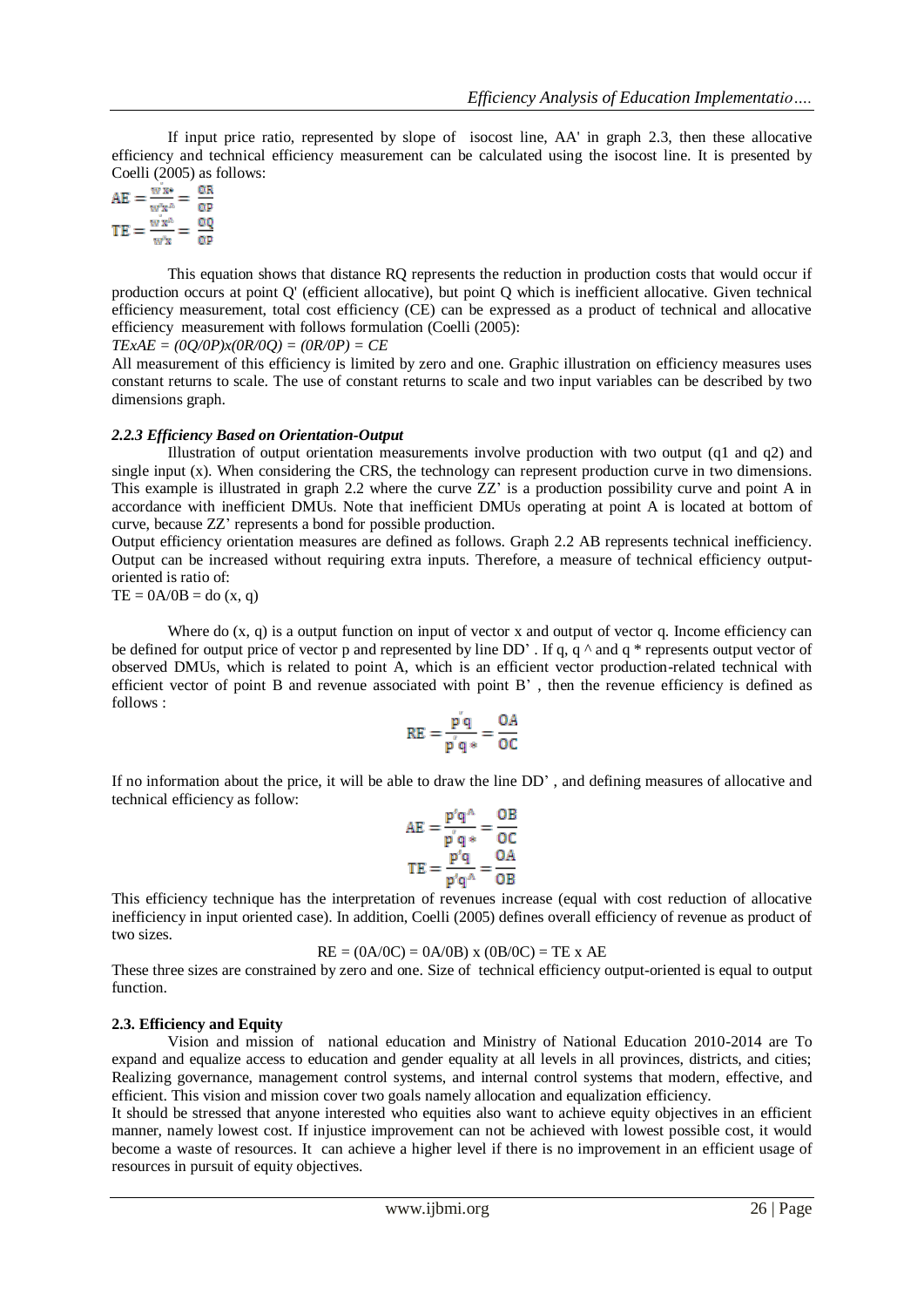If input price ratio, represented by slope of isocost line, AA' in graph 2.3, then these allocative efficiency and technical efficiency measurement can be calculated using the isocost line. It is presented by Coelli (2005) as follows:

$$
AE = \frac{wx}{w'x} = \frac{OR}{OP}
$$

$$
TE = \frac{wx}{w'x} = \frac{OQ}{OP}
$$

This equation shows that distance RQ represents the reduction in production costs that would occur if production occurs at point Q' (efficient allocative), but point Q which is inefficient allocative. Given technical efficiency measurement, total cost efficiency (CE) can be expressed as a product of technical and allocative efficiency measurement with follows formulation (Coelli (2005):

*TExAE = (0Q/0P)x(0R/0Q) = (0R/0P) = CE* 

All measurement of this efficiency is limited by zero and one. Graphic illustration on efficiency measures uses constant returns to scale. The use of constant returns to scale and two input variables can be described by two dimensions graph.

## *2.2.3 Efficiency Based on Orientation-Output*

Illustration of output orientation measurements involve production with two output (q1 and q2) and single input (x). When considering the CRS, the technology can represent production curve in two dimensions. This example is illustrated in graph 2.2 where the curve ZZ' is a production possibility curve and point A in accordance with inefficient DMUs. Note that inefficient DMUs operating at point A is located at bottom of curve, because ZZ' represents a bond for possible production.

Output efficiency orientation measures are defined as follows. Graph 2.2 AB represents technical inefficiency. Output can be increased without requiring extra inputs. Therefore, a measure of technical efficiency outputoriented is ratio of:

 $TE = 0A/0B =$ do  $(x, q)$ 

Where do  $(x, q)$  is a output function on input of vector x and output of vector q. Income efficiency can be defined for output price of vector p and represented by line  $DD'$ . If q, q  $\land$  and q  $*$  represents output vector of observed DMUs, which is related to point A, which is an efficient vector production-related technical with efficient vector of point B and revenue associated with point B' , then the revenue efficiency is defined as follows :

$$
RE = \frac{p|q}{p|q*} = \frac{OA}{OC}
$$

If no information about the price, it will be able to draw the line DD' , and defining measures of allocative and technical efficiency as follow:

$$
AE = \frac{p'q^A}{p'q^*} = \frac{OB}{OC}
$$

$$
TE = \frac{p'q}{p'q^A} = \frac{OA}{OB}
$$

This efficiency technique has the interpretation of revenues increase (equal with cost reduction of allocative inefficiency in input oriented case). In addition, Coelli (2005) defines overall efficiency of revenue as product of two sizes.

 $RE = (0A/0C) = 0A/0B$  x  $(0B/0C) = TE$  x AE

These three sizes are constrained by zero and one. Size of technical efficiency output-oriented is equal to output function.

## **2.3. Efficiency and Equity**

Vision and mission of national education and Ministry of National Education 2010-2014 are To expand and equalize access to education and gender equality at all levels in all provinces, districts, and cities; Realizing governance, management control systems, and internal control systems that modern, effective, and efficient. This vision and mission cover two goals namely allocation and equalization efficiency.

It should be stressed that anyone interested who equities also want to achieve equity objectives in an efficient manner, namely lowest cost. If injustice improvement can not be achieved with lowest possible cost, it would become a waste of resources. It can achieve a higher level if there is no improvement in an efficient usage of resources in pursuit of equity objectives.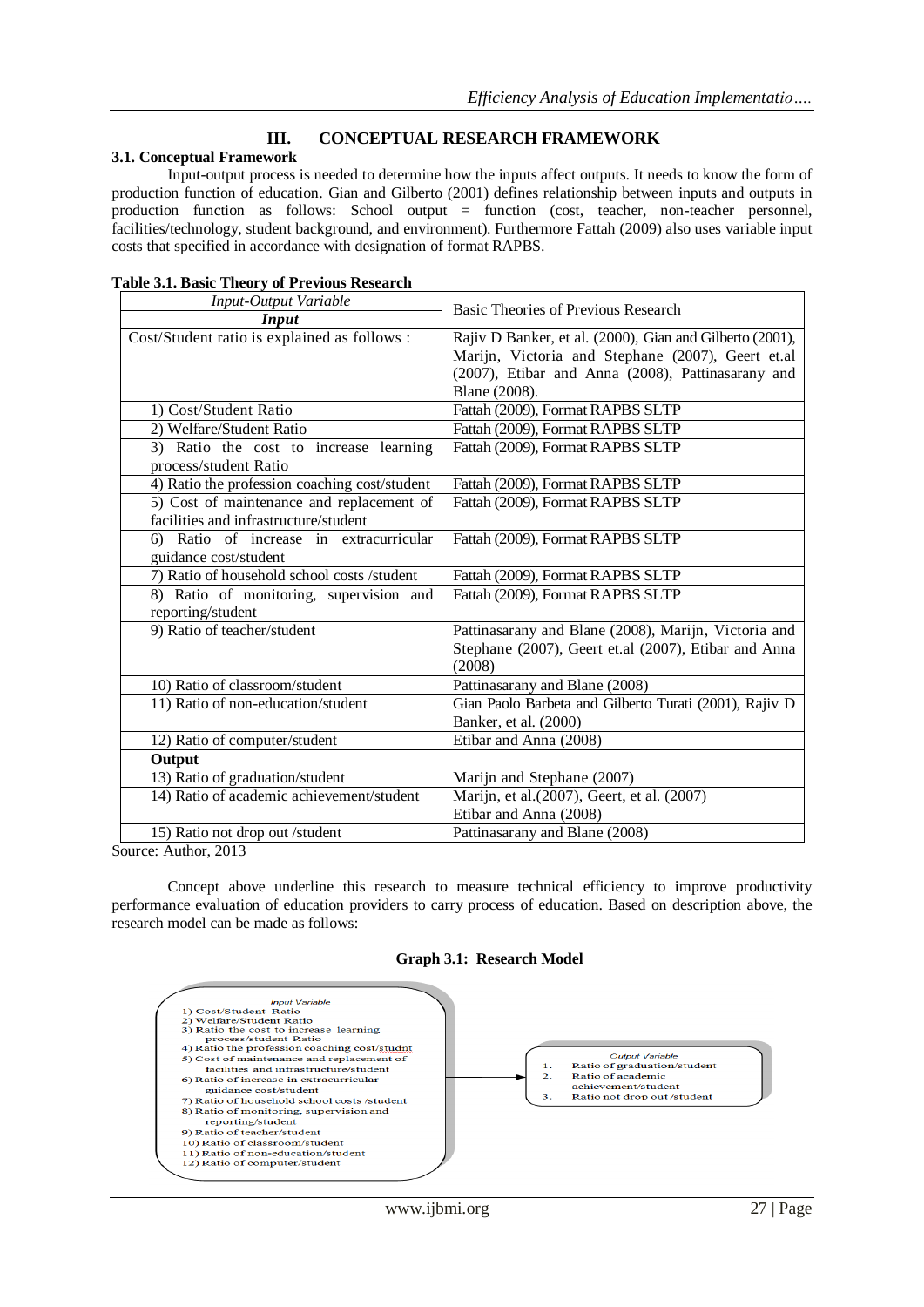# **III. CONCEPTUAL RESEARCH FRAMEWORK**

# **3.1. Conceptual Framework**

Input-output process is needed to determine how the inputs affect outputs. It needs to know the form of production function of education. Gian and Gilberto (2001) defines relationship between inputs and outputs in production function as follows: School output = function (cost, teacher, non-teacher personnel, facilities/technology, student background, and environment). Furthermore Fattah (2009) also uses variable input costs that specified in accordance with designation of format RAPBS.

| Basic Theories of Previous Research                                           |  |  |
|-------------------------------------------------------------------------------|--|--|
|                                                                               |  |  |
| Rajiv D Banker, et al. (2000), Gian and Gilberto (2001),                      |  |  |
| Marijn, Victoria and Stephane (2007), Geert et.al                             |  |  |
| (2007), Etibar and Anna (2008), Pattinasarany and                             |  |  |
| Blane (2008).                                                                 |  |  |
| Fattah (2009), Format RAPBS SLTP                                              |  |  |
| Fattah (2009), Format RAPBS SLTP                                              |  |  |
| Fattah (2009), Format RAPBS SLTP<br>3) Ratio the cost to increase learning    |  |  |
|                                                                               |  |  |
| Fattah (2009), Format RAPBS SLTP                                              |  |  |
| 5) Cost of maintenance and replacement of<br>Fattah (2009), Format RAPBS SLTP |  |  |
|                                                                               |  |  |
| Fattah (2009), Format RAPBS SLTP                                              |  |  |
|                                                                               |  |  |
| Fattah (2009), Format RAPBS SLTP                                              |  |  |
| 8) Ratio of monitoring, supervision and<br>Fattah (2009), Format RAPBS SLTP   |  |  |
|                                                                               |  |  |
| Pattinasarany and Blane (2008), Marijn, Victoria and                          |  |  |
| Stephane (2007), Geert et.al (2007), Etibar and Anna                          |  |  |
| (2008)                                                                        |  |  |
| Pattinasarany and Blane (2008)                                                |  |  |
| Gian Paolo Barbeta and Gilberto Turati (2001), Rajiv D                        |  |  |
| Banker, et al. (2000)                                                         |  |  |
| Etibar and Anna (2008)                                                        |  |  |
|                                                                               |  |  |
| Marijn and Stephane (2007)                                                    |  |  |
| Marijn, et al.(2007), Geert, et al. (2007)                                    |  |  |
| Etibar and Anna (2008)                                                        |  |  |
| Pattinasarany and Blane (2008)                                                |  |  |
|                                                                               |  |  |

Source: Author, 2013

Concept above underline this research to measure technical efficiency to improve productivity performance evaluation of education providers to carry process of education. Based on description above, the research model can be made as follows:

#### **Graph 3.1: Research Model**

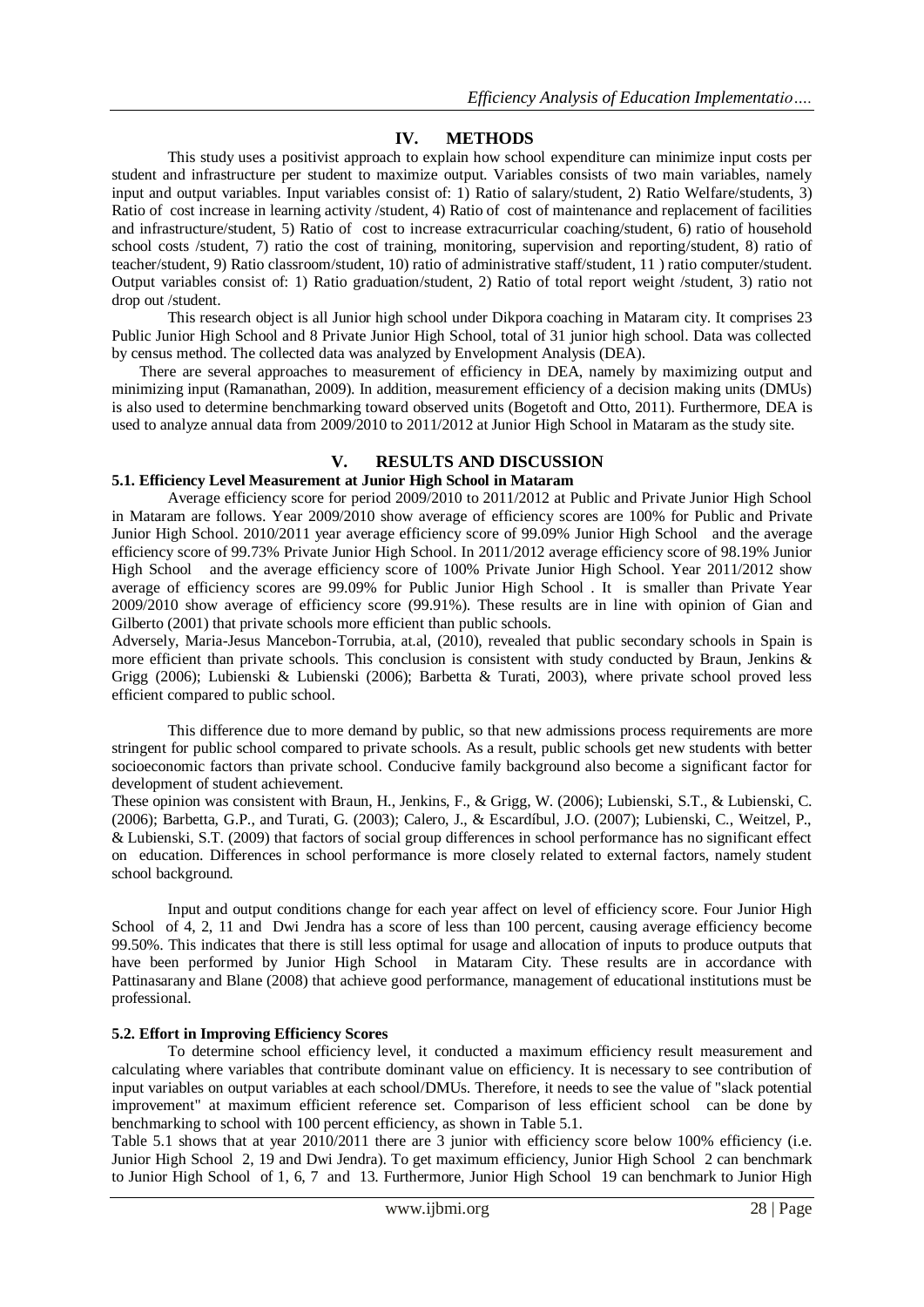# **IV. METHODS**

This study uses a positivist approach to explain how school expenditure can minimize input costs per student and infrastructure per student to maximize output. Variables consists of two main variables, namely input and output variables. Input variables consist of: 1) Ratio of salary/student, 2) Ratio Welfare/students, 3) Ratio of cost increase in learning activity /student, 4) Ratio of cost of maintenance and replacement of facilities and infrastructure/student, 5) Ratio of cost to increase extracurricular coaching/student, 6) ratio of household school costs /student, 7) ratio the cost of training, monitoring, supervision and reporting/student, 8) ratio of teacher/student, 9) Ratio classroom/student, 10) ratio of administrative staff/student, 11 ) ratio computer/student. Output variables consist of: 1) Ratio graduation/student, 2) Ratio of total report weight /student, 3) ratio not drop out /student.

This research object is all Junior high school under Dikpora coaching in Mataram city. It comprises 23 Public Junior High School and 8 Private Junior High School, total of 31 junior high school. Data was collected by census method. The collected data was analyzed by Envelopment Analysis (DEA).

There are several approaches to measurement of efficiency in DEA, namely by maximizing output and minimizing input (Ramanathan, 2009). In addition, measurement efficiency of a decision making units (DMUs) is also used to determine benchmarking toward observed units (Bogetoft and Otto, 2011). Furthermore, DEA is used to analyze annual data from 2009/2010 to 2011/2012 at Junior High School in Mataram as the study site.

# **V. RESULTS AND DISCUSSION**

### **5.1. Efficiency Level Measurement at Junior High School in Mataram**

Average efficiency score for period 2009/2010 to 2011/2012 at Public and Private Junior High School in Mataram are follows. Year 2009/2010 show average of efficiency scores are 100% for Public and Private Junior High School. 2010/2011 year average efficiency score of 99.09% Junior High School and the average efficiency score of 99.73% Private Junior High School. In 2011/2012 average efficiency score of 98.19% Junior High School and the average efficiency score of 100% Private Junior High School. Year 2011/2012 show average of efficiency scores are 99.09% for Public Junior High School . It is smaller than Private Year 2009/2010 show average of efficiency score (99.91%). These results are in line with opinion of Gian and Gilberto (2001) that private schools more efficient than public schools.

Adversely, Maria-Jesus Mancebon-Torrubia, at.al, (2010), revealed that public secondary schools in Spain is more efficient than private schools. This conclusion is consistent with study conducted by Braun, Jenkins  $\&$ Grigg (2006); Lubienski & Lubienski (2006); Barbetta & Turati, 2003), where private school proved less efficient compared to public school.

This difference due to more demand by public, so that new admissions process requirements are more stringent for public school compared to private schools. As a result, public schools get new students with better socioeconomic factors than private school. Conducive family background also become a significant factor for development of student achievement.

These opinion was consistent with Braun, H., Jenkins, F., & Grigg, W. (2006); Lubienski, S.T., & Lubienski, C. (2006); Barbetta, G.P., and Turati, G. (2003); Calero, J., & Escardíbul, J.O. (2007); Lubienski, C., Weitzel, P., & Lubienski, S.T. (2009) that factors of social group differences in school performance has no significant effect on education. Differences in school performance is more closely related to external factors, namely student school background.

Input and output conditions change for each year affect on level of efficiency score. Four Junior High School of 4, 2, 11 and Dwi Jendra has a score of less than 100 percent, causing average efficiency become 99.50%. This indicates that there is still less optimal for usage and allocation of inputs to produce outputs that have been performed by Junior High School in Mataram City. These results are in accordance with Pattinasarany and Blane (2008) that achieve good performance, management of educational institutions must be professional.

### **5.2. Effort in Improving Efficiency Scores**

To determine school efficiency level, it conducted a maximum efficiency result measurement and calculating where variables that contribute dominant value on efficiency. It is necessary to see contribution of input variables on output variables at each school/DMUs. Therefore, it needs to see the value of "slack potential improvement" at maximum efficient reference set. Comparison of less efficient school can be done by benchmarking to school with 100 percent efficiency, as shown in Table 5.1.

Table 5.1 shows that at year 2010/2011 there are 3 junior with efficiency score below 100% efficiency (i.e. Junior High School 2, 19 and Dwi Jendra). To get maximum efficiency, Junior High School 2 can benchmark to Junior High School of 1, 6, 7 and 13. Furthermore, Junior High School 19 can benchmark to Junior High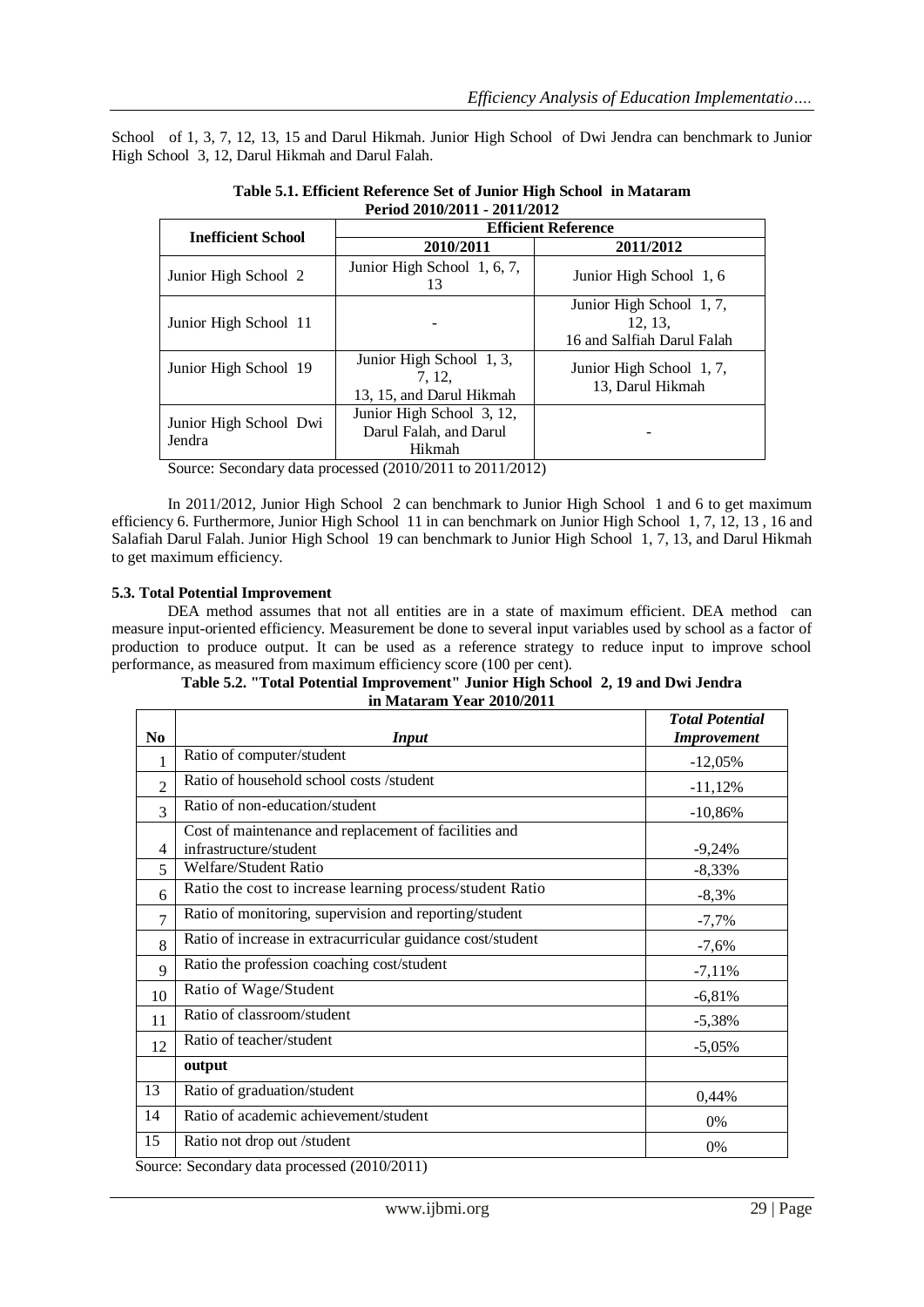School of 1, 3, 7, 12, 13, 15 and Darul Hikmah. Junior High School of Dwi Jendra can benchmark to Junior High School 3, 12, Darul Hikmah and Darul Falah.

| 1 CHOU 2010/2011 - 2011/2012     |                                                               |                                                                   |  |  |  |  |
|----------------------------------|---------------------------------------------------------------|-------------------------------------------------------------------|--|--|--|--|
| <b>Inefficient School</b>        | <b>Efficient Reference</b>                                    |                                                                   |  |  |  |  |
|                                  | 2010/2011                                                     | 2011/2012                                                         |  |  |  |  |
| Junior High School 2             | Junior High School 1, 6, 7,<br>13                             | Junior High School 1, 6                                           |  |  |  |  |
| Junior High School 11            |                                                               | Junior High School 1, 7,<br>12, 13,<br>16 and Salfiah Darul Falah |  |  |  |  |
| Junior High School 19            | Junior High School 1, 3,<br>7.12.<br>13, 15, and Darul Hikmah | Junior High School 1, 7,<br>13, Darul Hikmah                      |  |  |  |  |
| Junior High School Dwi<br>Jendra | Junior High School 3, 12,<br>Darul Falah, and Darul<br>Hikmah |                                                                   |  |  |  |  |

**Table 5.1. Efficient Reference Set of Junior High School in Mataram Period 2010/2011 - 2011/2012**

Source: Secondary data processed (2010/2011 to 2011/2012)

In 2011/2012, Junior High School 2 can benchmark to Junior High School 1 and 6 to get maximum efficiency 6. Furthermore, Junior High School 11 in can benchmark on Junior High School 1, 7, 12, 13 , 16 and Salafiah Darul Falah. Junior High School 19 can benchmark to Junior High School 1, 7, 13, and Darul Hikmah to get maximum efficiency.

# **5.3. Total Potential Improvement**

DEA method assumes that not all entities are in a state of maximum efficient. DEA method can measure input-oriented efficiency. Measurement be done to several input variables used by school as a factor of production to produce output. It can be used as a reference strategy to reduce input to improve school performance, as measured from maximum efficiency score (100 per cent).

**Table 5.2. "Total Potential Improvement" Junior High School 2, 19 and Dwi Jendra in Mataram Year 2010/2011**

|                |                                                            | <b>Total Potential</b> |
|----------------|------------------------------------------------------------|------------------------|
| N <sub>0</sub> | Input                                                      | <b>Improvement</b>     |
| 1              | Ratio of computer/student                                  | $-12,05%$              |
| $\overline{2}$ | Ratio of household school costs /student                   | $-11,12%$              |
| 3              | Ratio of non-education/student                             | $-10,86%$              |
|                | Cost of maintenance and replacement of facilities and      |                        |
| 4              | infrastructure/student                                     | $-9,24%$               |
| 5              | Welfare/Student Ratio                                      | $-8,33%$               |
| 6              | Ratio the cost to increase learning process/student Ratio  | $-8,3%$                |
| $\overline{7}$ | Ratio of monitoring, supervision and reporting/student     | $-7,7%$                |
| 8              | Ratio of increase in extracurricular guidance cost/student | $-7,6%$                |
| $\mathbf Q$    | Ratio the profession coaching cost/student                 | $-7,11%$               |
| 10             | Ratio of Wage/Student                                      | $-6,81%$               |
| 11             | Ratio of classroom/student                                 | $-5,38%$               |
| 12             | Ratio of teacher/student                                   | $-5,05%$               |
|                | output                                                     |                        |
| 13             | Ratio of graduation/student                                | 0,44%                  |
| 14             | Ratio of academic achievement/student                      | 0%                     |
| 15             | Ratio not drop out /student                                | 0%                     |
|                | $Souro$ , $Sconform$ data processed $(2010/2011)$          |                        |

Source: Secondary data processed (2010/2011)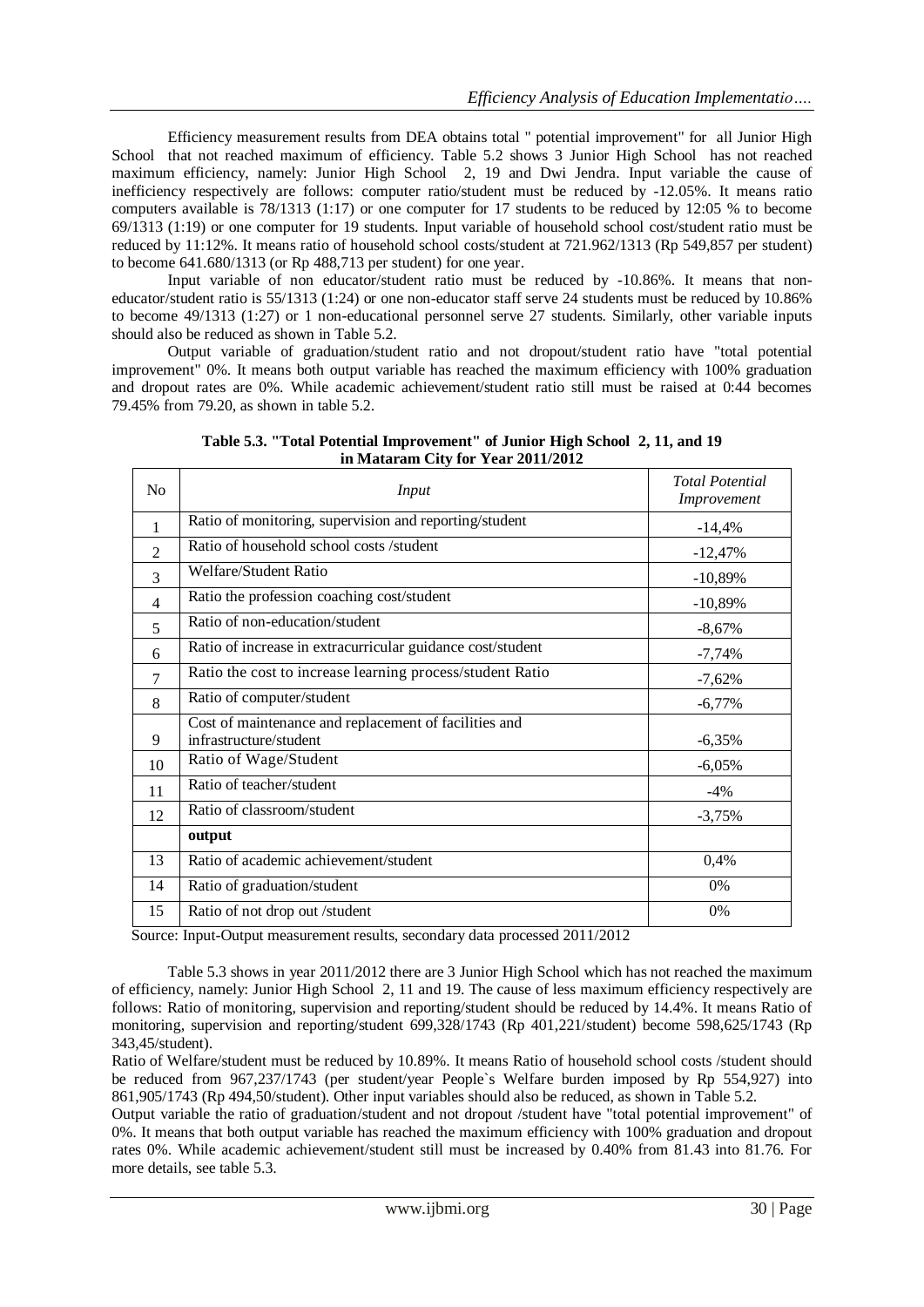Efficiency measurement results from DEA obtains total " potential improvement" for all Junior High School that not reached maximum of efficiency. Table 5.2 shows 3 Junior High School has not reached maximum efficiency, namely: Junior High School 2, 19 and Dwi Jendra. Input variable the cause of inefficiency respectively are follows: computer ratio/student must be reduced by -12.05%. It means ratio computers available is 78/1313 (1:17) or one computer for 17 students to be reduced by 12:05 % to become 69/1313 (1:19) or one computer for 19 students. Input variable of household school cost/student ratio must be reduced by 11:12%. It means ratio of household school costs/student at 721.962/1313 (Rp 549,857 per student) to become 641.680/1313 (or Rp 488,713 per student) for one year.

Input variable of non educator/student ratio must be reduced by -10.86%. It means that noneducator/student ratio is 55/1313 (1:24) or one non-educator staff serve 24 students must be reduced by 10.86% to become 49/1313 (1:27) or 1 non-educational personnel serve 27 students. Similarly, other variable inputs should also be reduced as shown in Table 5.2.

Output variable of graduation/student ratio and not dropout/student ratio have "total potential improvement" 0%. It means both output variable has reached the maximum efficiency with 100% graduation and dropout rates are 0%. While academic achievement/student ratio still must be raised at 0:44 becomes 79.45% from 79.20, as shown in table 5.2.

| N <sub>0</sub> | Input                                                      | <b>Total Potential</b><br>Improvement |
|----------------|------------------------------------------------------------|---------------------------------------|
| 1              | Ratio of monitoring, supervision and reporting/student     | $-14,4%$                              |
| $\overline{c}$ | Ratio of household school costs /student                   | $-12,47%$                             |
| 3              | Welfare/Student Ratio                                      | $-10,89%$                             |
| 4              | Ratio the profession coaching cost/student                 | $-10,89%$                             |
| 5              | Ratio of non-education/student                             | $-8,67%$                              |
| 6              | Ratio of increase in extracurricular guidance cost/student | $-7,74%$                              |
| 7              | Ratio the cost to increase learning process/student Ratio  | $-7,62%$                              |
| 8              | Ratio of computer/student                                  | $-6,77%$                              |
|                | Cost of maintenance and replacement of facilities and      |                                       |
| 9              | infrastructure/student                                     | $-6,35%$                              |
| 10             | Ratio of Wage/Student                                      | $-6,05%$                              |
| 11             | Ratio of teacher/student                                   | $-4%$                                 |
| 12             | Ratio of classroom/student                                 | $-3,75%$                              |
|                | output                                                     |                                       |
| 13             | Ratio of academic achievement/student                      | 0,4%                                  |
| 14             | Ratio of graduation/student                                | 0%                                    |
| 15             | Ratio of not drop out /student                             | 0%                                    |

**Table 5.3. "Total Potential Improvement" of Junior High School 2, 11, and 19 in Mataram City for Year 2011/2012**

Source: Input-Output measurement results, secondary data processed 2011/2012

Table 5.3 shows in year 2011/2012 there are 3 Junior High School which has not reached the maximum of efficiency, namely: Junior High School 2, 11 and 19. The cause of less maximum efficiency respectively are follows: Ratio of monitoring, supervision and reporting/student should be reduced by 14.4%. It means Ratio of monitoring, supervision and reporting/student 699,328/1743 (Rp 401,221/student) become 598,625/1743 (Rp 343,45/student).

Ratio of Welfare/student must be reduced by 10.89%. It means Ratio of household school costs /student should be reduced from 967,237/1743 (per student/year People`s Welfare burden imposed by Rp 554,927) into 861,905/1743 (Rp 494,50/student). Other input variables should also be reduced, as shown in Table 5.2.

Output variable the ratio of graduation/student and not dropout /student have "total potential improvement" of 0%. It means that both output variable has reached the maximum efficiency with 100% graduation and dropout rates 0%. While academic achievement/student still must be increased by 0.40% from 81.43 into 81.76. For more details, see table 5.3.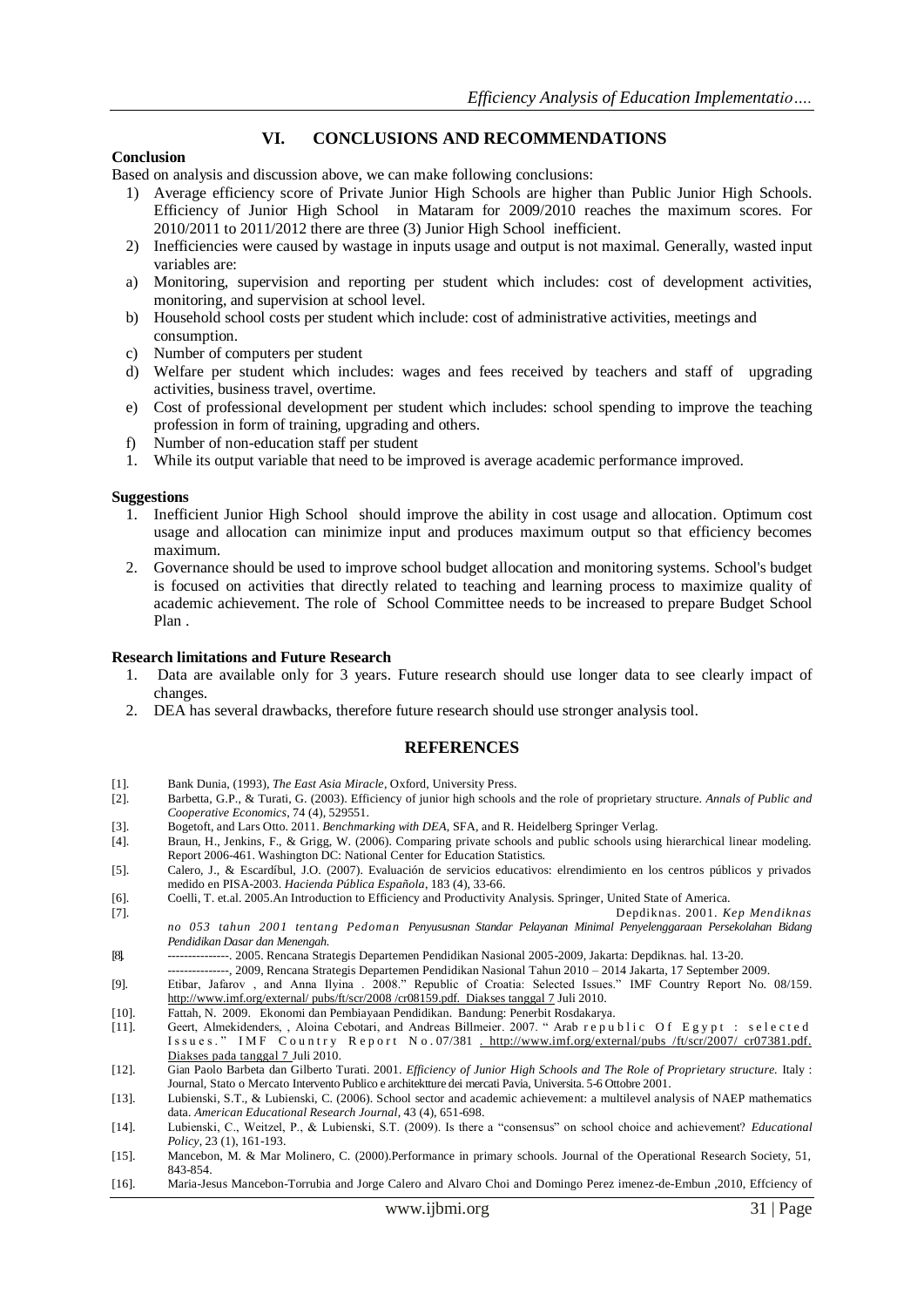# **VI. CONCLUSIONS AND RECOMMENDATIONS**

#### **Conclusion**

Based on analysis and discussion above, we can make following conclusions:

- 1) Average efficiency score of Private Junior High Schools are higher than Public Junior High Schools. Efficiency of Junior High School in Mataram for 2009/2010 reaches the maximum scores. For 2010/2011 to 2011/2012 there are three (3) Junior High School inefficient.
- 2) Inefficiencies were caused by wastage in inputs usage and output is not maximal. Generally, wasted input variables are:
- a) Monitoring, supervision and reporting per student which includes: cost of development activities, monitoring, and supervision at school level.
- b) Household school costs per student which include: cost of administrative activities, meetings and consumption.
- c) Number of computers per student
- d) Welfare per student which includes: wages and fees received by teachers and staff of upgrading activities, business travel, overtime.
- e) Cost of professional development per student which includes: school spending to improve the teaching profession in form of training, upgrading and others.
- f) Number of non-education staff per student
- 1. While its output variable that need to be improved is average academic performance improved.

#### **Suggestions**

- 1. Inefficient Junior High School should improve the ability in cost usage and allocation. Optimum cost usage and allocation can minimize input and produces maximum output so that efficiency becomes maximum.
- 2. Governance should be used to improve school budget allocation and monitoring systems. School's budget is focused on activities that directly related to teaching and learning process to maximize quality of academic achievement. The role of School Committee needs to be increased to prepare Budget School Plan .

#### **Research limitations and Future Research**

- 1. Data are available only for 3 years. Future research should use longer data to see clearly impact of changes.
- 2. DEA has several drawbacks, therefore future research should use stronger analysis tool.

#### **REFERENCES**

- [1]. Bank Dunia, (1993), *The East Asia Miracle*, Oxford, University Press.
- [2]. Barbetta, G.P., & Turati, G. (2003). Efficiency of junior high schools and the role of proprietary structure. *Annals of Public and Cooperative Economics*, 74 (4), 529551.
- [3]. Bogetoft, and Lars Otto. 2011. *Benchmarking with DEA*, SFA, and R. Heidelberg Springer Verlag.
- [4]. Braun, H., Jenkins, F., & Grigg, W. (2006). Comparing private schools and public schools using hierarchical linear modeling. Report 2006-461. Washington DC: National Center for Education Statistics.
- [5]. Calero, J., & Escardíbul, J.O. (2007). Evaluación de servicios educativos: elrendimiento en los centros públicos y privados medido en PISA-2003. *Hacienda Pública Española*, 183 (4), 33-66.
- [6]. Coelli, T. et.al. 2005.An Introduction to Efficiency and Productivity Analysis. Springer, United State of America.
- [7]. Depdiknas. 2001. *Kep Mendiknas no 053 tahun 2001 tentang Pedoman Penyususnan Standar Pelayanan Minimal Penyelenggaraan Persekolahan Bidang Pendidikan Dasar dan Menengah.*
- [8]. ---------------. 2005. Rencana Strategis Departemen Pendidikan Nasional 2005-2009, Jakarta: Depdiknas. hal. 13-20.
- -, 2009, Rencana Strategis Departemen Pendidikan Nasional Tahun 2010 2014 Jakarta, 17 September 2009. [9]. Etibar, Jafarov , and Anna Ilyina . 2008." Republic of Croatia: Selected Issues." IMF Country Report No. 08/159. <http://www.imf.org/external/> pubs/ft/scr/2008 /cr08159.pdf. Diakses tanggal 7 Juli 2010.
- [10]. Fattah, N. 2009. Ekonomi dan Pembiayaan Pendidikan. Bandung: Penerbit Rosdakarya.
- [11]. Geert, Almekidenders, , Aloina Cebotari, and Andreas Billmeier. 2007. "Arab r e public Of Egypt : selected Issues." IMF Country Report No. 07/381 . [http://www.imf.org/external/pubs /ft/scr/2007/ cr07381.pdf.](http://www.imf.org/external/pubs%20/ft/scr/2007/%20cr07381.pdf) Diakses pada tanggal 7 Juli 2010.
- [12]. Gian Paolo Barbeta dan Gilberto Turati. 2001. *Efficiency of Junior High Schools and The Role of Proprietary structure.* Italy : Journal, Stato o Mercato Intervento Publico e architektture dei mercati Pavia, Universita. 5-6 Ottobre 2001.
- [13]. Lubienski, S.T., & Lubienski, C. (2006). School sector and academic achievement: a multilevel analysis of NAEP mathematics data. *American Educational Research Journal*, 43 (4), 651-698.
- [14]. Lubienski, C., Weitzel, P., & Lubienski, S.T. (2009). Is there a "consensus" on school choice and achievement? *Educational Policy*, 23 (1), 161-193.
- [15]. Mancebon, M. & Mar Molinero, C. (2000).Performance in primary schools. Journal of the Operational Research Society, 51, 843-854.
- [16]. Maria-Jesus Mancebon-Torrubia and Jorge Calero and Alvaro Choi and Domingo Perez imenez-de-Embun ,2010, Effciency of